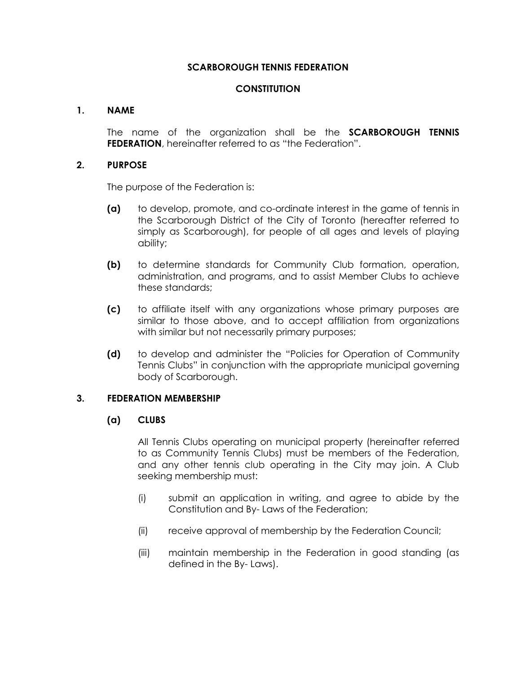### **SCARBOROUGH TENNIS FEDERATION**

### **CONSTITUTION**

#### **1. NAME**

The name of the organization shall be the **SCARBOROUGH TENNIS FEDERATION**, hereinafter referred to as "the Federation".

#### **2. PURPOSE**

The purpose of the Federation is:

- **(a)** to develop, promote, and co-ordinate interest in the game of tennis in the Scarborough District of the City of Toronto (hereafter referred to simply as Scarborough), for people of all ages and levels of playing ability;
- **(b)** to determine standards for Community Club formation, operation, administration, and programs, and to assist Member Clubs to achieve these standards;
- **(c)** to affiliate itself with any organizations whose primary purposes are similar to those above, and to accept affiliation from organizations with similar but not necessarily primary purposes;
- **(d)** to develop and administer the "Policies for Operation of Community Tennis Clubs" in conjunction with the appropriate municipal governing body of Scarborough.

#### **3. FEDERATION MEMBERSHIP**

#### **(a) CLUBS**

All Tennis Clubs operating on municipal property (hereinafter referred to as Community Tennis Clubs) must be members of the Federation, and any other tennis club operating in the City may join. A Club seeking membership must:

- (i) submit an application in writing, and agree to abide by the Constitution and By- Laws of the Federation;
- (ii) receive approval of membership by the Federation Council;
- (iii) maintain membership in the Federation in good standing (as defined in the By- Laws).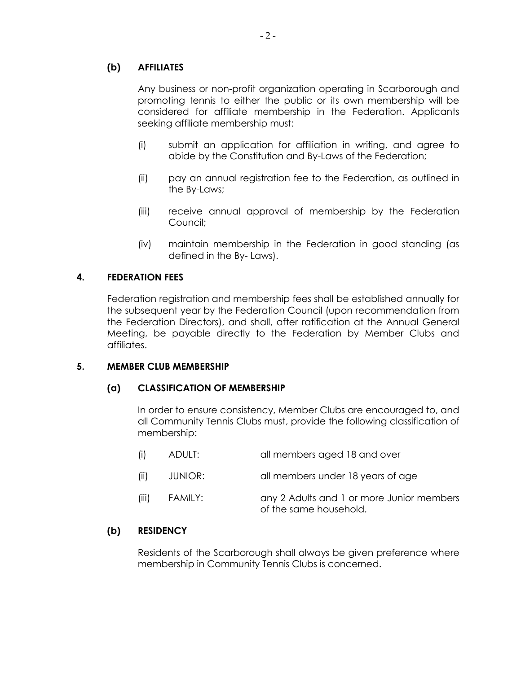# **(b) AFFILIATES**

Any business or non-profit organization operating in Scarborough and promoting tennis to either the public or its own membership will be considered for affiliate membership in the Federation. Applicants seeking affiliate membership must:

- (i) submit an application for affiliation in writing, and agree to abide by the Constitution and By-Laws of the Federation;
- (ii) pay an annual registration fee to the Federation, as outlined in the By-Laws;
- (iii) receive annual approval of membership by the Federation Council;
- (iv) maintain membership in the Federation in good standing (as defined in the By- Laws).

### **4. FEDERATION FEES**

Federation registration and membership fees shall be established annually for the subsequent year by the Federation Council (upon recommendation from the Federation Directors), and shall, after ratification at the Annual General Meeting, be payable directly to the Federation by Member Clubs and affiliates.

#### **5. MEMBER CLUB MEMBERSHIP**

#### **(a) CLASSIFICATION OF MEMBERSHIP**

In order to ensure consistency, Member Clubs are encouraged to, and all Community Tennis Clubs must, provide the following classification of membership:

| (i)   | ADULT:  | all members aged 18 and over                                        |
|-------|---------|---------------------------------------------------------------------|
| (ii)  | JUNIOR: | all members under 18 years of age                                   |
| (iii) | FAMILY: | any 2 Adults and 1 or more Junior members<br>of the same household. |

#### **(b) RESIDENCY**

Residents of the Scarborough shall always be given preference where membership in Community Tennis Clubs is concerned.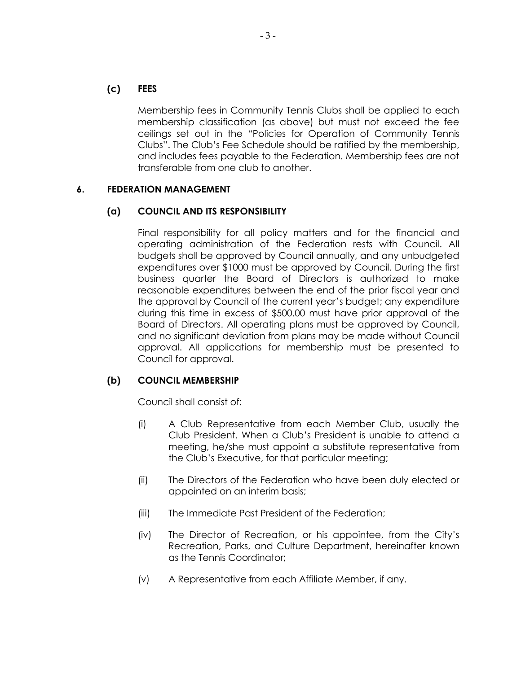### **(c) FEES**

Membership fees in Community Tennis Clubs shall be applied to each membership classification (as above) but must not exceed the fee ceilings set out in the "Policies for Operation of Community Tennis Clubs". The Club's Fee Schedule should be ratified by the membership, and includes fees payable to the Federation. Membership fees are not transferable from one club to another.

### **6. FEDERATION MANAGEMENT**

### **(a) COUNCIL AND ITS RESPONSIBILITY**

Final responsibility for all policy matters and for the financial and operating administration of the Federation rests with Council. All budgets shall be approved by Council annually, and any unbudgeted expenditures over \$1000 must be approved by Council. During the first business quarter the Board of Directors is authorized to make reasonable expenditures between the end of the prior fiscal year and the approval by Council of the current year's budget; any expenditure during this time in excess of \$500.00 must have prior approval of the Board of Directors. All operating plans must be approved by Council, and no significant deviation from plans may be made without Council approval. All applications for membership must be presented to Council for approval.

#### **(b) COUNCIL MEMBERSHIP**

Council shall consist of:

- (i) A Club Representative from each Member Club, usually the Club President. When a Club's President is unable to attend a meeting, he/she must appoint a substitute representative from the Club's Executive, for that particular meeting;
- (ii) The Directors of the Federation who have been duly elected or appointed on an interim basis;
- (iii) The Immediate Past President of the Federation;
- (iv) The Director of Recreation, or his appointee, from the City's Recreation, Parks, and Culture Department, hereinafter known as the Tennis Coordinator;
- (v) A Representative from each Affiliate Member, if any.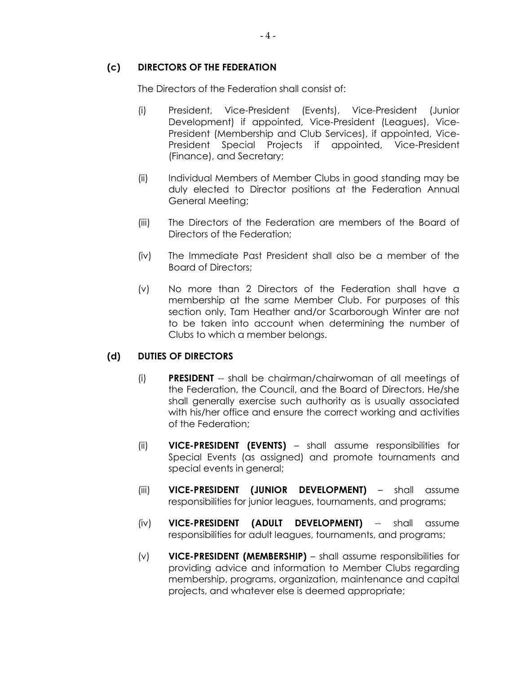### **(c) DIRECTORS OF THE FEDERATION**

The Directors of the Federation shall consist of:

- (i) President, Vice-President (Events), Vice-President (Junior Development) if appointed, Vice-President (Leagues), Vice-President (Membership and Club Services), if appointed, Vice-President Special Projects if appointed, Vice-President (Finance), and Secretary;
- (ii) Individual Members of Member Clubs in good standing may be duly elected to Director positions at the Federation Annual General Meeting;
- (iii) The Directors of the Federation are members of the Board of Directors of the Federation;
- (iv) The Immediate Past President shall also be a member of the Board of Directors;
- (v) No more than 2 Directors of the Federation shall have a membership at the same Member Club. For purposes of this section only, Tam Heather and/or Scarborough Winter are not to be taken into account when determining the number of Clubs to which a member belongs.

# **(d) DUTIES OF DIRECTORS**

- (i) **PRESIDENT** -- shall be chairman/chairwoman of all meetings of the Federation, the Council, and the Board of Directors. He/she shall generally exercise such authority as is usually associated with his/her office and ensure the correct working and activities of the Federation;
- (ii) **VICE-PRESIDENT (EVENTS)** shall assume responsibilities for Special Events (as assigned) and promote tournaments and special events in general;
- (iii) **VICE-PRESIDENT (JUNIOR DEVELOPMENT)** shall assume responsibilities for junior leagues, tournaments, and programs;
- (iv) **VICE-PRESIDENT (ADULT DEVELOPMENT)** -- shall assume responsibilities for adult leagues, tournaments, and programs;
- (v) **VICE-PRESIDENT (MEMBERSHIP)** shall assume responsibilities for providing advice and information to Member Clubs regarding membership, programs, organization, maintenance and capital projects, and whatever else is deemed appropriate;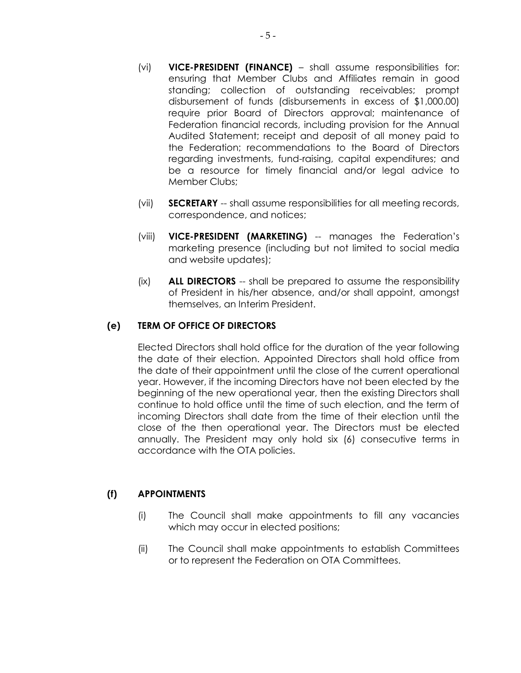- (vi) **VICE-PRESIDENT (FINANCE)** shall assume responsibilities for: ensuring that Member Clubs and Affiliates remain in good standing; collection of outstanding receivables; prompt disbursement of funds (disbursements in excess of \$1,000.00) require prior Board of Directors approval; maintenance of Federation financial records, including provision for the Annual Audited Statement; receipt and deposit of all money paid to the Federation; recommendations to the Board of Directors regarding investments, fund-raising, capital expenditures; and be a resource for timely financial and/or legal advice to Member Clubs;
- (vii) **SECRETARY** -- shall assume responsibilities for all meeting records, correspondence, and notices;
- (viii) **VICE-PRESIDENT (MARKETING)** -- manages the Federation's marketing presence (including but not limited to social media and website updates);
- (ix) **ALL DIRECTORS** -- shall be prepared to assume the responsibility of President in his/her absence, and/or shall appoint, amongst themselves, an Interim President.

# **(e) TERM OF OFFICE OF DIRECTORS**

Elected Directors shall hold office for the duration of the year following the date of their election. Appointed Directors shall hold office from the date of their appointment until the close of the current operational year. However, if the incoming Directors have not been elected by the beginning of the new operational year, then the existing Directors shall continue to hold office until the time of such election, and the term of incoming Directors shall date from the time of their election until the close of the then operational year. The Directors must be elected annually. The President may only hold six (6) consecutive terms in accordance with the OTA policies.

# **(f) APPOINTMENTS**

- (i) The Council shall make appointments to fill any vacancies which may occur in elected positions;
- (ii) The Council shall make appointments to establish Committees or to represent the Federation on OTA Committees.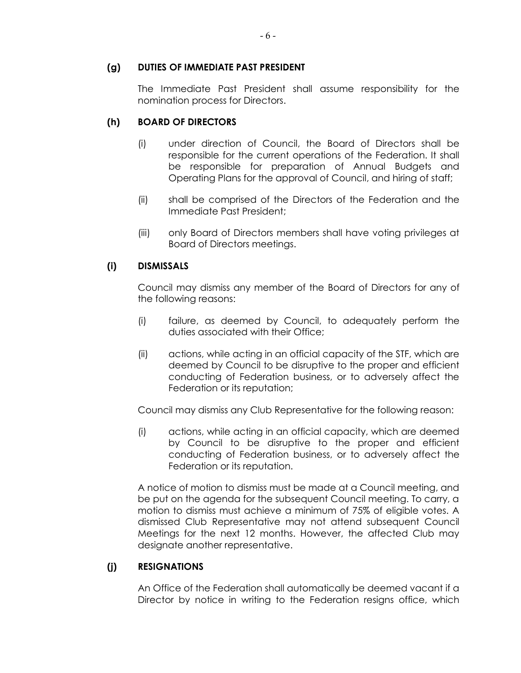### **(g) DUTIES OF IMMEDIATE PAST PRESIDENT**

The Immediate Past President shall assume responsibility for the nomination process for Directors.

# **(h) BOARD OF DIRECTORS**

- (i) under direction of Council, the Board of Directors shall be responsible for the current operations of the Federation. It shall be responsible for preparation of Annual Budgets and Operating Plans for the approval of Council, and hiring of staff;
- (ii) shall be comprised of the Directors of the Federation and the Immediate Past President;
- (iii) only Board of Directors members shall have voting privileges at Board of Directors meetings.

# **(i) DISMISSALS**

Council may dismiss any member of the Board of Directors for any of the following reasons:

- (i) failure, as deemed by Council, to adequately perform the duties associated with their Office;
- (ii) actions, while acting in an official capacity of the STF, which are deemed by Council to be disruptive to the proper and efficient conducting of Federation business, or to adversely affect the Federation or its reputation;

Council may dismiss any Club Representative for the following reason:

(i) actions, while acting in an official capacity, which are deemed by Council to be disruptive to the proper and efficient conducting of Federation business, or to adversely affect the Federation or its reputation.

A notice of motion to dismiss must be made at a Council meeting, and be put on the agenda for the subsequent Council meeting. To carry, a motion to dismiss must achieve a minimum of 75% of eligible votes. A dismissed Club Representative may not attend subsequent Council Meetings for the next 12 months. However, the affected Club may designate another representative.

# **(j) RESIGNATIONS**

An Office of the Federation shall automatically be deemed vacant if a Director by notice in writing to the Federation resigns office, which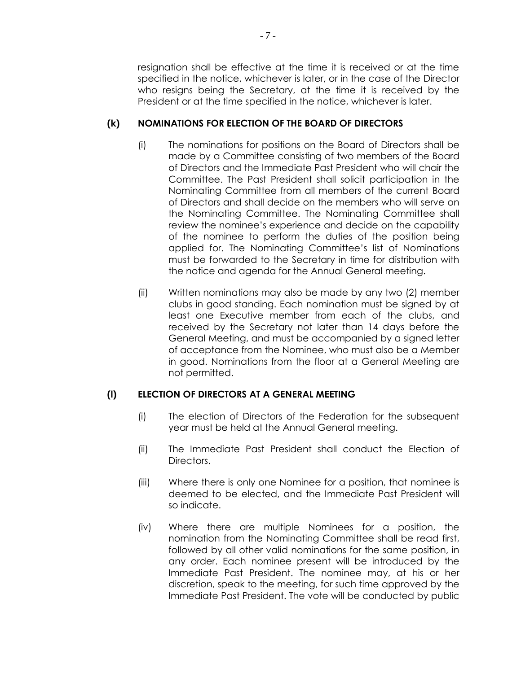resignation shall be effective at the time it is received or at the time specified in the notice, whichever is later, or in the case of the Director who resigns being the Secretary, at the time it is received by the President or at the time specified in the notice, whichever is later.

# **(k) NOMINATIONS FOR ELECTION OF THE BOARD OF DIRECTORS**

- (i) The nominations for positions on the Board of Directors shall be made by a Committee consisting of two members of the Board of Directors and the Immediate Past President who will chair the Committee. The Past President shall solicit participation in the Nominating Committee from all members of the current Board of Directors and shall decide on the members who will serve on the Nominating Committee. The Nominating Committee shall review the nominee's experience and decide on the capability of the nominee to perform the duties of the position being applied for. The Nominating Committee's list of Nominations must be forwarded to the Secretary in time for distribution with the notice and agenda for the Annual General meeting.
- (ii) Written nominations may also be made by any two (2) member clubs in good standing. Each nomination must be signed by at least one Executive member from each of the clubs, and received by the Secretary not later than 14 days before the General Meeting, and must be accompanied by a signed letter of acceptance from the Nominee, who must also be a Member in good. Nominations from the floor at a General Meeting are not permitted.

# **(l) ELECTION OF DIRECTORS AT A GENERAL MEETING**

- (i) The election of Directors of the Federation for the subsequent year must be held at the Annual General meeting.
- (ii) The Immediate Past President shall conduct the Election of Directors.
- (iii) Where there is only one Nominee for a position, that nominee is deemed to be elected, and the Immediate Past President will so indicate.
- (iv) Where there are multiple Nominees for a position, the nomination from the Nominating Committee shall be read first, followed by all other valid nominations for the same position, in any order. Each nominee present will be introduced by the Immediate Past President. The nominee may, at his or her discretion, speak to the meeting, for such time approved by the Immediate Past President. The vote will be conducted by public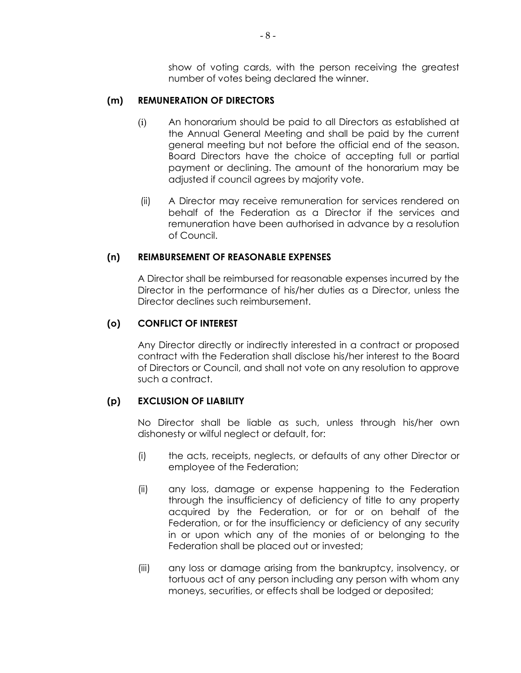show of voting cards, with the person receiving the greatest number of votes being declared the winner.

#### **(m) REMUNERATION OF DIRECTORS**

- (i) An honorarium should be paid to all Directors as established at the Annual General Meeting and shall be paid by the current general meeting but not before the official end of the season. Board Directors have the choice of accepting full or partial payment or declining. The amount of the honorarium may be adjusted if council agrees by majority vote.
- (ii) A Director may receive remuneration for services rendered on behalf of the Federation as a Director if the services and remuneration have been authorised in advance by a resolution of Council.

#### **(n) REIMBURSEMENT OF REASONABLE EXPENSES**

A Director shall be reimbursed for reasonable expenses incurred by the Director in the performance of his/her duties as a Director, unless the Director declines such reimbursement.

#### **(o) CONFLICT OF INTEREST**

Any Director directly or indirectly interested in a contract or proposed contract with the Federation shall disclose his/her interest to the Board of Directors or Council, and shall not vote on any resolution to approve such a contract.

#### **(p) EXCLUSION OF LIABILITY**

No Director shall be liable as such, unless through his/her own dishonesty or wilful neglect or default, for:

- (i) the acts, receipts, neglects, or defaults of any other Director or employee of the Federation;
- (ii) any loss, damage or expense happening to the Federation through the insufficiency of deficiency of title to any property acquired by the Federation, or for or on behalf of the Federation, or for the insufficiency or deficiency of any security in or upon which any of the monies of or belonging to the Federation shall be placed out or invested;
- (iii) any loss or damage arising from the bankruptcy, insolvency, or tortuous act of any person including any person with whom any moneys, securities, or effects shall be lodged or deposited;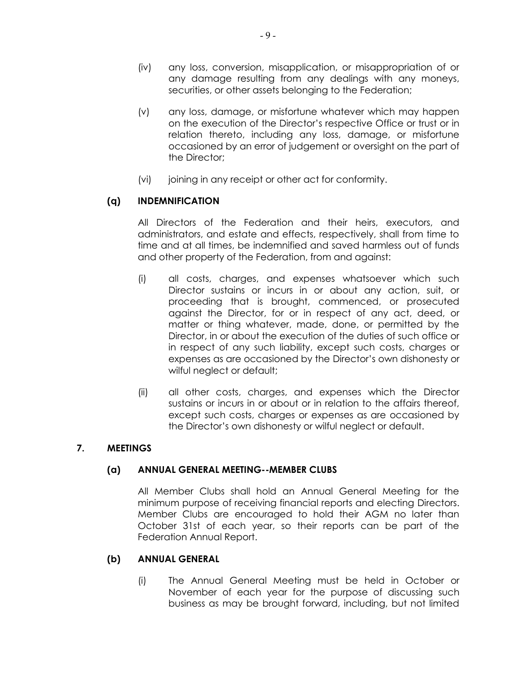- (iv) any loss, conversion, misapplication, or misappropriation of or any damage resulting from any dealings with any moneys, securities, or other assets belonging to the Federation;
- (v) any loss, damage, or misfortune whatever which may happen on the execution of the Director's respective Office or trust or in relation thereto, including any loss, damage, or misfortune occasioned by an error of judgement or oversight on the part of the Director;
- (vi) joining in any receipt or other act for conformity.

# **(q) INDEMNIFICATION**

All Directors of the Federation and their heirs, executors, and administrators, and estate and effects, respectively, shall from time to time and at all times, be indemnified and saved harmless out of funds and other property of the Federation, from and against:

- (i) all costs, charges, and expenses whatsoever which such Director sustains or incurs in or about any action, suit, or proceeding that is brought, commenced, or prosecuted against the Director, for or in respect of any act, deed, or matter or thing whatever, made, done, or permitted by the Director, in or about the execution of the duties of such office or in respect of any such liability, except such costs, charges or expenses as are occasioned by the Director's own dishonesty or wilful neglect or default;
- (ii) all other costs, charges, and expenses which the Director sustains or incurs in or about or in relation to the affairs thereof, except such costs, charges or expenses as are occasioned by the Director's own dishonesty or wilful neglect or default.

#### **7. MEETINGS**

# **(a) ANNUAL GENERAL MEETING--MEMBER CLUBS**

All Member Clubs shall hold an Annual General Meeting for the minimum purpose of receiving financial reports and electing Directors. Member Clubs are encouraged to hold their AGM no later than October 31st of each year, so their reports can be part of the Federation Annual Report.

#### **(b) ANNUAL GENERAL**

(i) The Annual General Meeting must be held in October or November of each year for the purpose of discussing such business as may be brought forward, including, but not limited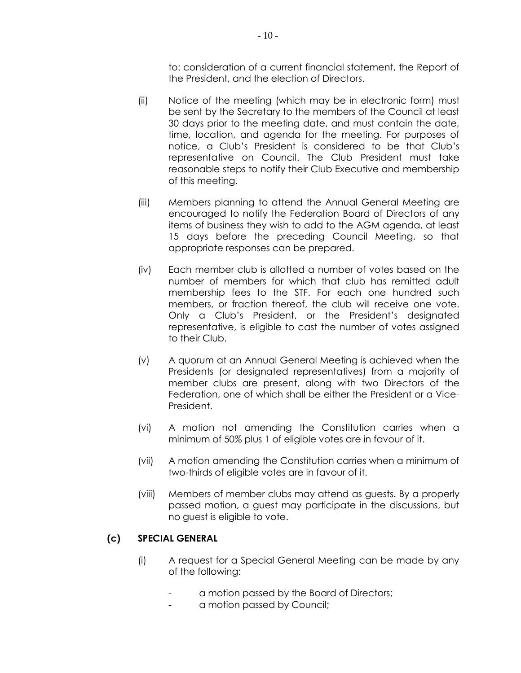to: consideration of a current financial statement, the Report of the President, and the election of Directors.

- (ii) Notice of the meeting (which may be in electronic form) must be sent by the Secretary to the members of the Council at least 30 days prior to the meeting date, and must contain the date, time, location, and agenda for the meeting. For purposes of notice, a Club's President is considered to be that Club's representative on Council. The Club President must take reasonable steps to notify their Club Executive and membership of this meeting.
- (iii) Members planning to attend the Annual General Meeting are encouraged to notify the Federation Board of Directors of any items of business they wish to add to the AGM agenda, at least 15 days before the preceding Council Meeting, so that appropriate responses can be prepared.
- (iv) Each member club is allotted a number of votes based on the number of members for which that club has remitted adult membership fees to the STF. For each one hundred such members, or fraction thereof, the club will receive one vote. Only a Club's President, or the President's designated representative, is eligible to cast the number of votes assigned to their Club.
- (v) A quorum at an Annual General Meeting is achieved when the Presidents (or designated representatives) from a majority of member clubs are present, along with two Directors of the Federation, one of which shall be either the President or a Vice-President.
- (vi) A motion not amending the Constitution carries when a minimum of 50% plus 1 of eligible votes are in favour of it.
- (vii) A motion amending the Constitution carries when a minimum of two-thirds of eligible votes are in favour of it.
- (viii) Members of member clubs may attend as guests. By a properly passed motion, a guest may participate in the discussions, but no guest is eligible to vote.

# **(c) SPECIAL GENERAL**

- (i) A request for a Special General Meeting can be made by any of the following:
	- a motion passed by the Board of Directors;
	- a motion passed by Council;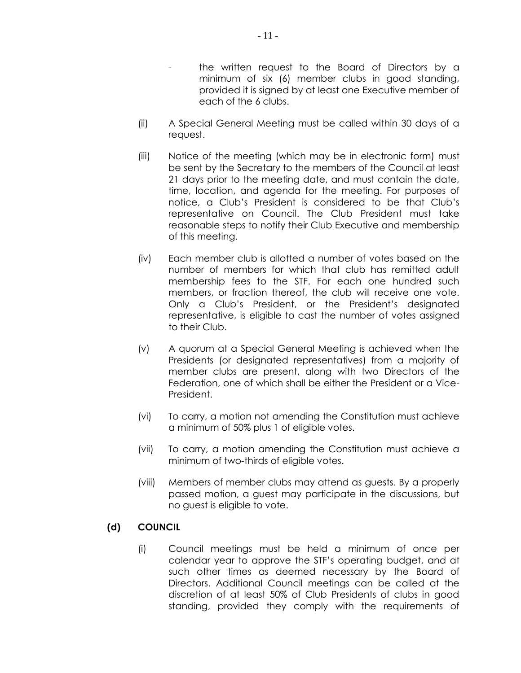- the written request to the Board of Directors by a
- minimum of six (6) member clubs in good standing, provided it is signed by at least one Executive member of each of the 6 clubs.
- (ii) A Special General Meeting must be called within 30 days of a request.
- (iii) Notice of the meeting (which may be in electronic form) must be sent by the Secretary to the members of the Council at least 21 days prior to the meeting date, and must contain the date, time, location, and agenda for the meeting. For purposes of notice, a Club's President is considered to be that Club's representative on Council. The Club President must take reasonable steps to notify their Club Executive and membership of this meeting.
- (iv) Each member club is allotted a number of votes based on the number of members for which that club has remitted adult membership fees to the STF. For each one hundred such members, or fraction thereof, the club will receive one vote. Only a Club's President, or the President's designated representative, is eligible to cast the number of votes assigned to their Club.
- (v) A quorum at a Special General Meeting is achieved when the Presidents (or designated representatives) from a majority of member clubs are present, along with two Directors of the Federation, one of which shall be either the President or a Vice-President.
- (vi) To carry, a motion not amending the Constitution must achieve a minimum of 50% plus 1 of eligible votes.
- (vii) To carry, a motion amending the Constitution must achieve a minimum of two-thirds of eligible votes.
- (viii) Members of member clubs may attend as guests. By a properly passed motion, a guest may participate in the discussions, but no guest is eligible to vote.

# **(d) COUNCIL**

(i) Council meetings must be held a minimum of once per calendar year to approve the STF's operating budget, and at such other times as deemed necessary by the Board of Directors. Additional Council meetings can be called at the discretion of at least 50% of Club Presidents of clubs in good standing, provided they comply with the requirements of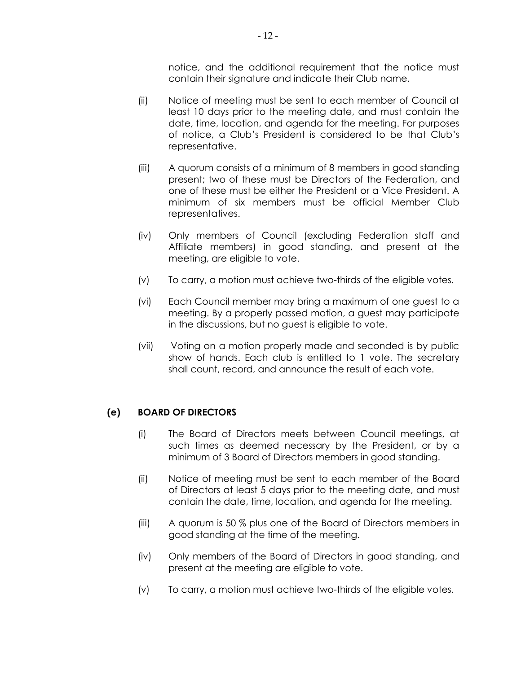notice, and the additional requirement that the notice must contain their signature and indicate their Club name.

- (ii) Notice of meeting must be sent to each member of Council at least 10 days prior to the meeting date, and must contain the date, time, location, and agenda for the meeting. For purposes of notice, a Club's President is considered to be that Club's representative.
- (iii) A quorum consists of a minimum of 8 members in good standing present; two of these must be Directors of the Federation, and one of these must be either the President or a Vice President. A minimum of six members must be official Member Club representatives.
- (iv) Only members of Council (excluding Federation staff and Affiliate members) in good standing, and present at the meeting, are eligible to vote.
- (v) To carry, a motion must achieve two-thirds of the eligible votes.
- (vi) Each Council member may bring a maximum of one guest to a meeting. By a properly passed motion, a guest may participate in the discussions, but no guest is eligible to vote.
- (vii) Voting on a motion properly made and seconded is by public show of hands. Each club is entitled to 1 vote. The secretary shall count, record, and announce the result of each vote.

#### **(e) BOARD OF DIRECTORS**

- (i) The Board of Directors meets between Council meetings, at such times as deemed necessary by the President, or by a minimum of 3 Board of Directors members in good standing.
- (ii) Notice of meeting must be sent to each member of the Board of Directors at least 5 days prior to the meeting date, and must contain the date, time, location, and agenda for the meeting.
- (iii) A quorum is 50 % plus one of the Board of Directors members in good standing at the time of the meeting.
- (iv) Only members of the Board of Directors in good standing, and present at the meeting are eligible to vote.
- (v) To carry, a motion must achieve two-thirds of the eligible votes.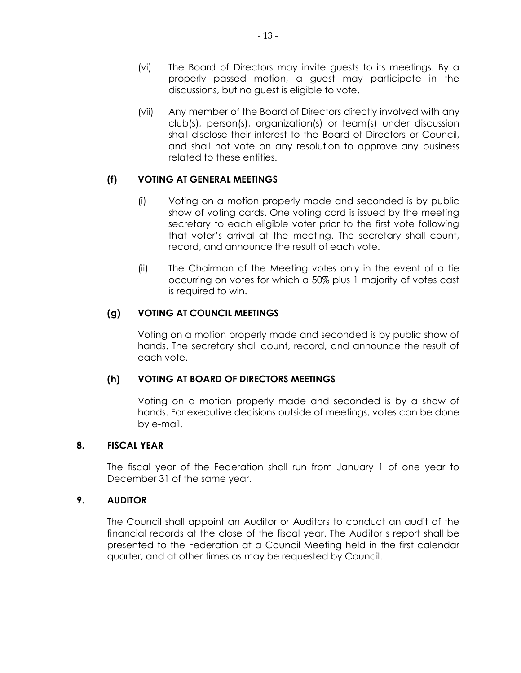- (vi) The Board of Directors may invite guests to its meetings. By a properly passed motion, a guest may participate in the discussions, but no guest is eligible to vote.
- (vii) Any member of the Board of Directors directly involved with any club(s), person(s), organization(s) or team(s) under discussion shall disclose their interest to the Board of Directors or Council, and shall not vote on any resolution to approve any business related to these entities.

# **(f) VOTING AT GENERAL MEETINGS**

- (i) Voting on a motion properly made and seconded is by public show of voting cards. One voting card is issued by the meeting secretary to each eligible voter prior to the first vote following that voter's arrival at the meeting. The secretary shall count, record, and announce the result of each vote.
- (ii) The Chairman of the Meeting votes only in the event of a tie occurring on votes for which a 50% plus 1 majority of votes cast is required to win.

### **(g) VOTING AT COUNCIL MEETINGS**

Voting on a motion properly made and seconded is by public show of hands. The secretary shall count, record, and announce the result of each vote.

### **(h) VOTING AT BOARD OF DIRECTORS MEETINGS**

Voting on a motion properly made and seconded is by a show of hands. For executive decisions outside of meetings, votes can be done by e-mail.

#### **8. FISCAL YEAR**

The fiscal year of the Federation shall run from January 1 of one year to December 31 of the same year.

#### **9. AUDITOR**

The Council shall appoint an Auditor or Auditors to conduct an audit of the financial records at the close of the fiscal year. The Auditor's report shall be presented to the Federation at a Council Meeting held in the first calendar quarter, and at other times as may be requested by Council.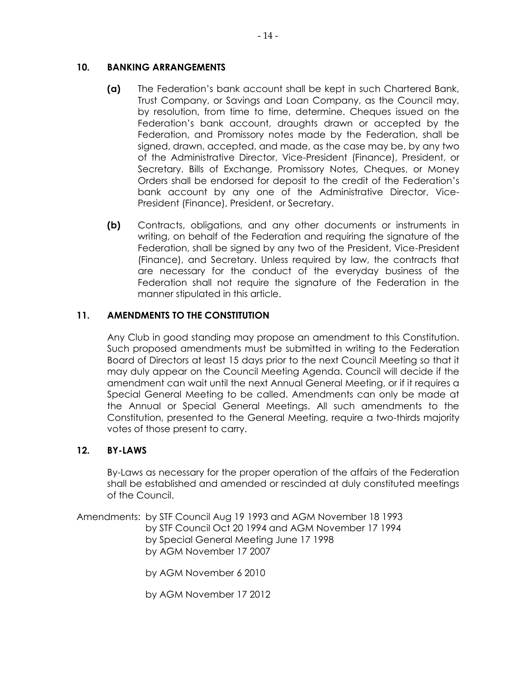# **10. BANKING ARRANGEMENTS**

- **(a)** The Federation's bank account shall be kept in such Chartered Bank, Trust Company, or Savings and Loan Company, as the Council may, by resolution, from time to time, determine. Cheques issued on the Federation's bank account, draughts drawn or accepted by the Federation, and Promissory notes made by the Federation, shall be signed, drawn, accepted, and made, as the case may be, by any two of the Administrative Director, Vice-President (Finance), President, or Secretary. Bills of Exchange, Promissory Notes, Cheques, or Money Orders shall be endorsed for deposit to the credit of the Federation's bank account by any one of the Administrative Director, Vice-President (Finance), President, or Secretary.
- **(b)** Contracts, obligations, and any other documents or instruments in writing, on behalf of the Federation and requiring the signature of the Federation, shall be signed by any two of the President, Vice-President (Finance), and Secretary. Unless required by law, the contracts that are necessary for the conduct of the everyday business of the Federation shall not require the signature of the Federation in the manner stipulated in this article.

# **11. AMENDMENTS TO THE CONSTITUTION**

Any Club in good standing may propose an amendment to this Constitution. Such proposed amendments must be submitted in writing to the Federation Board of Directors at least 15 days prior to the next Council Meeting so that it may duly appear on the Council Meeting Agenda. Council will decide if the amendment can wait until the next Annual General Meeting, or if it requires a Special General Meeting to be called. Amendments can only be made at the Annual or Special General Meetings. All such amendments to the Constitution, presented to the General Meeting, require a two-thirds majority votes of those present to carry.

#### **12. BY-LAWS**

By-Laws as necessary for the proper operation of the affairs of the Federation shall be established and amended or rescinded at duly constituted meetings of the Council.

Amendments: by STF Council Aug 19 1993 and AGM November 18 1993 by STF Council Oct 20 1994 and AGM November 17 1994 by Special General Meeting June 17 1998 by AGM November 17 2007

by AGM November 6 2010

by AGM November 17 2012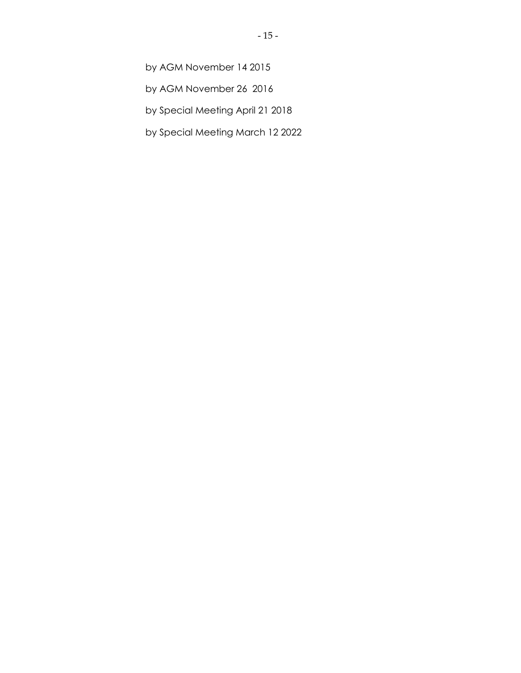by AGM November 14 2015

by AGM November 26 2016

by Special Meeting April 21 2018

by Special Meeting March 12 2022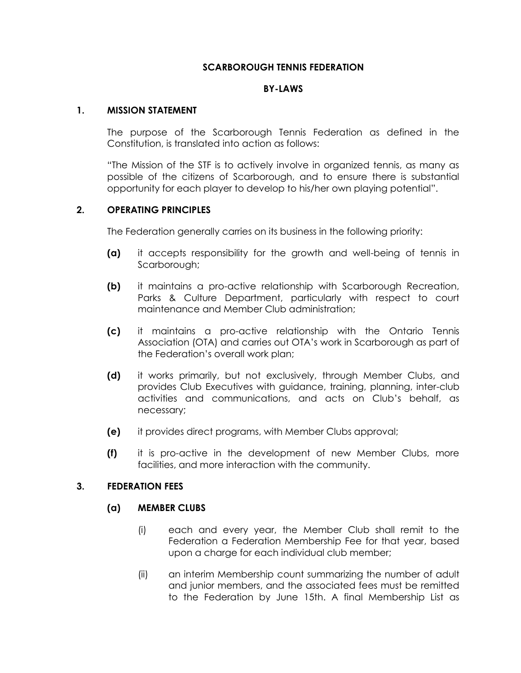### **SCARBOROUGH TENNIS FEDERATION**

### **BY-LAWS**

#### **1. MISSION STATEMENT**

The purpose of the Scarborough Tennis Federation as defined in the Constitution, is translated into action as follows:

"The Mission of the STF is to actively involve in organized tennis, as many as possible of the citizens of Scarborough, and to ensure there is substantial opportunity for each player to develop to his/her own playing potential".

### **2. OPERATING PRINCIPLES**

The Federation generally carries on its business in the following priority:

- **(a)** it accepts responsibility for the growth and well-being of tennis in Scarborough;
- **(b)** it maintains a pro-active relationship with Scarborough Recreation, Parks & Culture Department, particularly with respect to court maintenance and Member Club administration;
- **(c)** it maintains a pro-active relationship with the Ontario Tennis Association (OTA) and carries out OTA's work in Scarborough as part of the Federation's overall work plan;
- **(d)** it works primarily, but not exclusively, through Member Clubs, and provides Club Executives with guidance, training, planning, inter-club activities and communications, and acts on Club's behalf, as necessary;
- **(e)** it provides direct programs, with Member Clubs approval;
- **(f)** it is pro-active in the development of new Member Clubs, more facilities, and more interaction with the community.

#### **3. FEDERATION FEES**

#### **(a) MEMBER CLUBS**

- (i) each and every year, the Member Club shall remit to the Federation a Federation Membership Fee for that year, based upon a charge for each individual club member;
- (ii) an interim Membership count summarizing the number of adult and junior members, and the associated fees must be remitted to the Federation by June 15th. A final Membership List as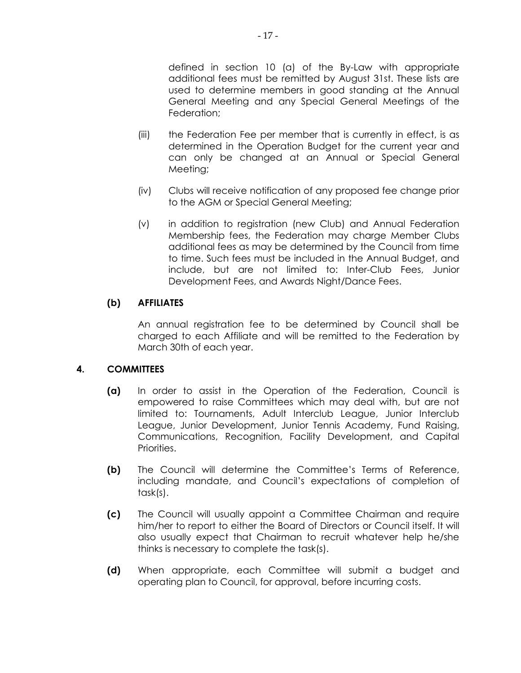defined in section 10 (a) of the By-Law with appropriate additional fees must be remitted by August 31st. These lists are used to determine members in good standing at the Annual General Meeting and any Special General Meetings of the Federation;

- (iii) the Federation Fee per member that is currently in effect, is as determined in the Operation Budget for the current year and can only be changed at an Annual or Special General Meeting;
- (iv) Clubs will receive notification of any proposed fee change prior to the AGM or Special General Meeting;
- (v) in addition to registration (new Club) and Annual Federation Membership fees, the Federation may charge Member Clubs additional fees as may be determined by the Council from time to time. Such fees must be included in the Annual Budget, and include, but are not limited to: Inter-Club Fees, Junior Development Fees, and Awards Night/Dance Fees.

# **(b) AFFILIATES**

An annual registration fee to be determined by Council shall be charged to each Affiliate and will be remitted to the Federation by March 30th of each year.

# **4. COMMITTEES**

- **(a)** In order to assist in the Operation of the Federation, Council is empowered to raise Committees which may deal with, but are not limited to: Tournaments, Adult Interclub League, Junior Interclub League, Junior Development, Junior Tennis Academy, Fund Raising, Communications, Recognition, Facility Development, and Capital Priorities.
- **(b)** The Council will determine the Committee's Terms of Reference, including mandate, and Council's expectations of completion of task(s).
- **(c)** The Council will usually appoint a Committee Chairman and require him/her to report to either the Board of Directors or Council itself. It will also usually expect that Chairman to recruit whatever help he/she thinks is necessary to complete the task(s).
- **(d)** When appropriate, each Committee will submit a budget and operating plan to Council, for approval, before incurring costs.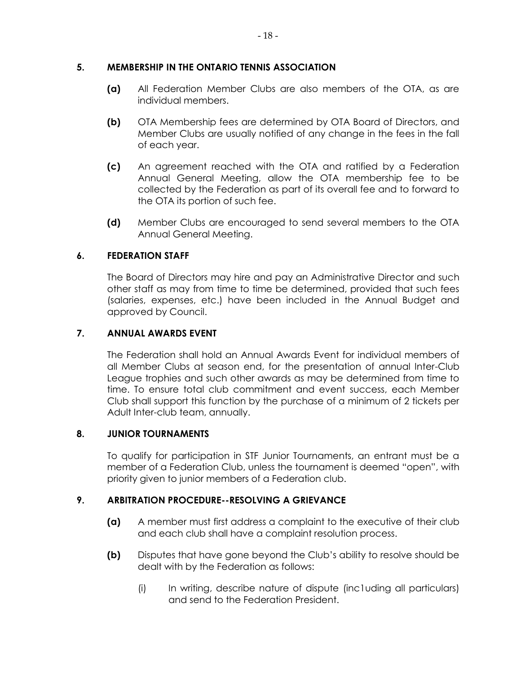### **5. MEMBERSHIP IN THE ONTARIO TENNIS ASSOCIATION**

- **(a)** All Federation Member Clubs are also members of the OTA, as are individual members.
- **(b)** OTA Membership fees are determined by OTA Board of Directors, and Member Clubs are usually notified of any change in the fees in the fall of each year.
- **(c)** An agreement reached with the OTA and ratified by a Federation Annual General Meeting, allow the OTA membership fee to be collected by the Federation as part of its overall fee and to forward to the OTA its portion of such fee.
- **(d)** Member Clubs are encouraged to send several members to the OTA Annual General Meeting.

# **6. FEDERATION STAFF**

The Board of Directors may hire and pay an Administrative Director and such other staff as may from time to time be determined, provided that such fees (salaries, expenses, etc.) have been included in the Annual Budget and approved by Council.

# **7. ANNUAL AWARDS EVENT**

The Federation shall hold an Annual Awards Event for individual members of all Member Clubs at season end, for the presentation of annual Inter-Club League trophies and such other awards as may be determined from time to time. To ensure total club commitment and event success, each Member Club shall support this function by the purchase of a minimum of 2 tickets per Adult Inter-club team, annually.

# **8. JUNIOR TOURNAMENTS**

To qualify for participation in STF Junior Tournaments, an entrant must be a member of a Federation Club, unless the tournament is deemed "open", with priority given to junior members of a Federation club.

# **9. ARBITRATION PROCEDURE--RESOLVING A GRIEVANCE**

- **(a)** A member must first address a complaint to the executive of their club and each club shall have a complaint resolution process.
- **(b)** Disputes that have gone beyond the Club's ability to resolve should be dealt with by the Federation as follows:
	- (i) In writing, describe nature of dispute (inc1uding all particulars) and send to the Federation President.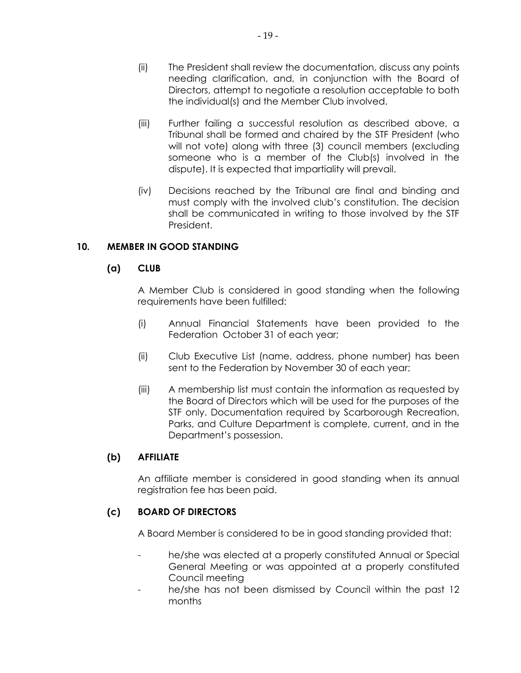- (iii) Further failing a successful resolution as described above, a Tribunal shall be formed and chaired by the STF President (who will not vote) along with three (3) council members (excluding someone who is a member of the Club(s) involved in the dispute). It is expected that impartiality will prevail.
- (iv) Decisions reached by the Tribunal are final and binding and must comply with the involved club's constitution. The decision shall be communicated in writing to those involved by the STF President.

# **10. MEMBER IN GOOD STANDING**

# **(a) CLUB**

A Member Club is considered in good standing when the following requirements have been fulfilled:

- (i) Annual Financial Statements have been provided to the Federation October 31 of each year;
- (ii) Club Executive List (name, address, phone number) has been sent to the Federation by November 30 of each year;
- (iii) A membership list must contain the information as requested by the Board of Directors which will be used for the purposes of the STF only. Documentation required by Scarborough Recreation, Parks, and Culture Department is complete, current, and in the Department's possession.

# **(b) AFFILIATE**

An affiliate member is considered in good standing when its annual registration fee has been paid.

# **(c) BOARD OF DIRECTORS**

A Board Member is considered to be in good standing provided that:

- he/she was elected at a properly constituted Annual or Special General Meeting or was appointed at a properly constituted Council meeting
- he/she has not been dismissed by Council within the past 12 months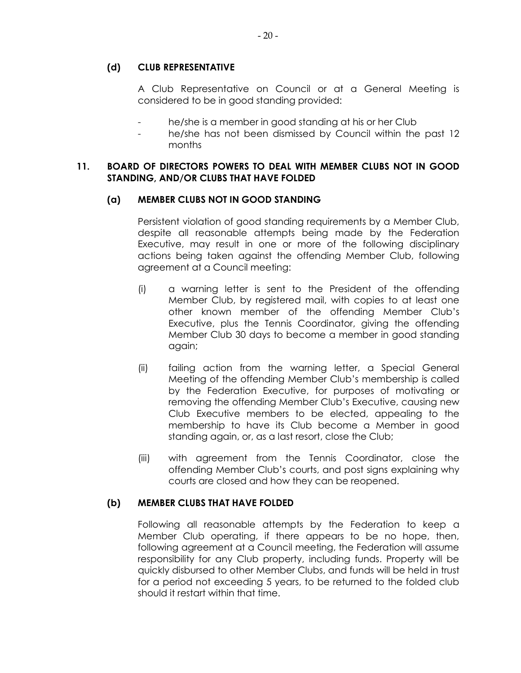### **(d) CLUB REPRESENTATIVE**

A Club Representative on Council or at a General Meeting is considered to be in good standing provided:

- he/she is a member in good standing at his or her Club
- he/she has not been dismissed by Council within the past 12 months

### **11. BOARD OF DIRECTORS POWERS TO DEAL WITH MEMBER CLUBS NOT IN GOOD STANDING, AND/OR CLUBS THAT HAVE FOLDED**

### **(a) MEMBER CLUBS NOT IN GOOD STANDING**

Persistent violation of good standing requirements by a Member Club, despite all reasonable attempts being made by the Federation Executive, may result in one or more of the following disciplinary actions being taken against the offending Member Club, following agreement at a Council meeting:

- (i) a warning letter is sent to the President of the offending Member Club, by registered mail, with copies to at least one other known member of the offending Member Club's Executive, plus the Tennis Coordinator, giving the offending Member Club 30 days to become a member in good standing again;
- (ii) failing action from the warning letter, a Special General Meeting of the offending Member Club's membership is called by the Federation Executive, for purposes of motivating or removing the offending Member Club's Executive, causing new Club Executive members to be elected, appealing to the membership to have its Club become a Member in good standing again, or, as a last resort, close the Club;
- (iii) with agreement from the Tennis Coordinator, close the offending Member Club's courts, and post signs explaining why courts are closed and how they can be reopened.

# **(b) MEMBER CLUBS THAT HAVE FOLDED**

Following all reasonable attempts by the Federation to keep a Member Club operating, if there appears to be no hope, then, following agreement at a Council meeting, the Federation will assume responsibility for any Club property, including funds. Property will be quickly disbursed to other Member Clubs, and funds will be held in trust for a period not exceeding 5 years, to be returned to the folded club should it restart within that time.